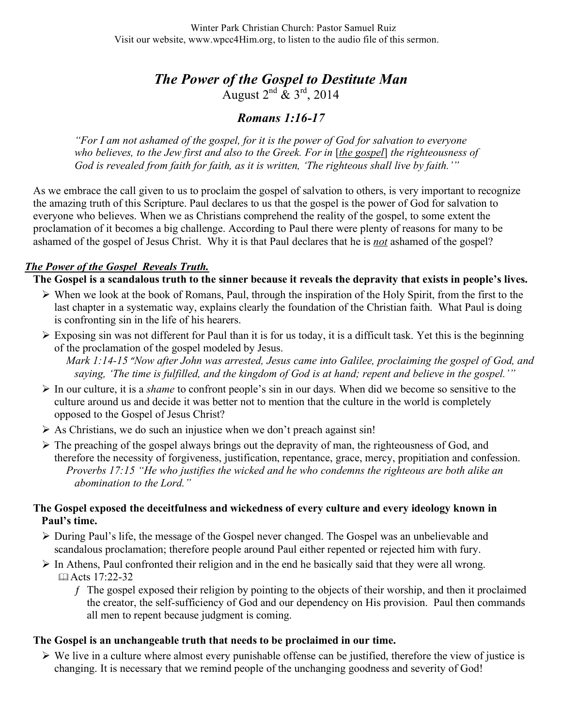# *The Power of the Gospel to Destitute Man* August  $2^{nd}$  &  $3^{rd}$ , 2014

## *Romans 1:16-17*

*"For I am not ashamed of the gospel, for it is the power of God for salvation to everyone who believes, to the Jew first and also to the Greek. For in* [*the gospel*] *the righteousness of God is revealed from faith for faith, as it is written, 'The righteous shall live by faith.'"*

As we embrace the call given to us to proclaim the gospel of salvation to others, is very important to recognize the amazing truth of this Scripture. Paul declares to us that the gospel is the power of God for salvation to everyone who believes. When we as Christians comprehend the reality of the gospel, to some extent the proclamation of it becomes a big challenge. According to Paul there were plenty of reasons for many to be ashamed of the gospel of Jesus Christ. Why it is that Paul declares that he is *not* ashamed of the gospel?

## *The Power of the Gospel Reveals Truth.*

**The Gospel is a scandalous truth to the sinner because it reveals the depravity that exists in people's lives.**

- $\triangleright$  When we look at the book of Romans, Paul, through the inspiration of the Holy Spirit, from the first to the last chapter in a systematic way, explains clearly the foundation of the Christian faith. What Paul is doing is confronting sin in the life of his hearers.
- Exposing sin was not different for Paul than it is for us today, it is a difficult task. Yet this is the beginning of the proclamation of the gospel modeled by Jesus.
	- *Mark 1:14-15 "Now after John was arrested, Jesus came into Galilee, proclaiming the gospel of God, and saying, 'The time is fulfilled, and the kingdom of God is at hand; repent and believe in the gospel.'"*
- In our culture, it is a *shame* to confront people's sin in our days. When did we become so sensitive to the culture around us and decide it was better not to mention that the culture in the world is completely opposed to the Gospel of Jesus Christ?
- $\triangleright$  As Christians, we do such an injustice when we don't preach against sin!
- $\triangleright$  The preaching of the gospel always brings out the depravity of man, the righteousness of God, and therefore the necessity of forgiveness, justification, repentance, grace, mercy, propitiation and confession. *Proverbs 17:15 "He who justifies the wicked and he who condemns the righteous are both alike an abomination to the Lord."*

#### **The Gospel exposed the deceitfulness and wickedness of every culture and every ideology known in Paul's time.**

- During Paul's life, the message of the Gospel never changed. The Gospel was an unbelievable and scandalous proclamation; therefore people around Paul either repented or rejected him with fury.
- $\triangleright$  In Athens, Paul confronted their religion and in the end he basically said that they were all wrong. Acts 17:22-32
	- ƒ The gospel exposed their religion by pointing to the objects of their worship, and then it proclaimed the creator, the self-sufficiency of God and our dependency on His provision. Paul then commands all men to repent because judgment is coming.

#### **The Gospel is an unchangeable truth that needs to be proclaimed in our time.**

 $\triangleright$  We live in a culture where almost every punishable offense can be justified, therefore the view of justice is changing. It is necessary that we remind people of the unchanging goodness and severity of God!